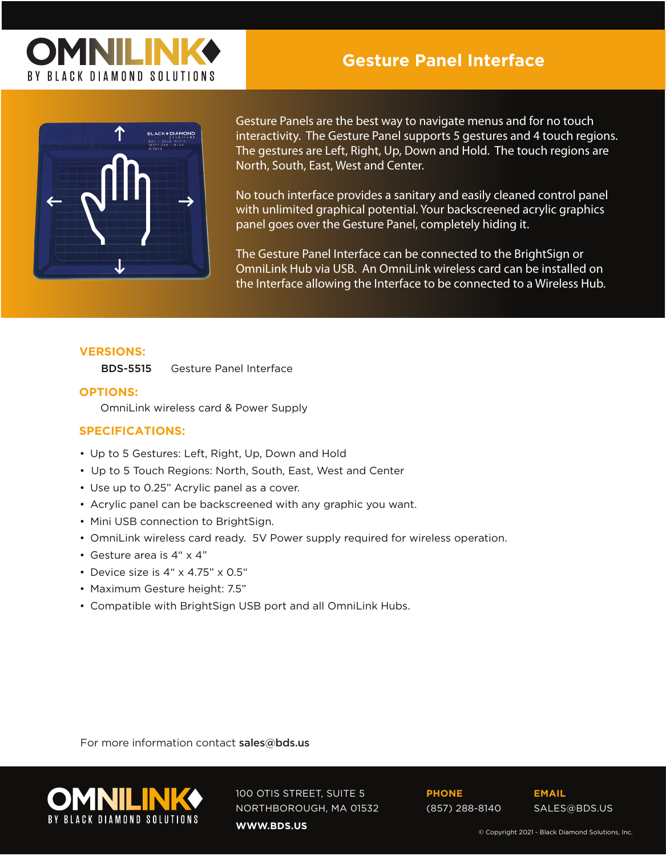



Gesture Panels are the best way to navigate menus and for no touch interactivity. The Gesture Panel supports 5 gestures and 4 touch regions. The gestures are Left, Right, Up, Down and Hold. The touch regions are North, South, East, West and Center.

No touch interface provides a sanitary and easily cleaned control panel with unlimited graphical potential. Your backscreened acrylic graphics panel goes over the Gesture Panel, completely hiding it.

The Gesture Panel Interface can be connected to the BrightSign or OmniLink Hub via USB. An OmniLink wireless card can be installed on the Interface allowing the Interface to be connected to a Wireless Hub.

# **VERSIONS:**

BDS-5515 Gesture Panel Interface

## **OPTIONS:**

OmniLink wireless card & Power Supply

# **SPECIFICATIONS:**

- Up to 5 Gestures: Left, Right, Up, Down and Hold
- Up to 5 Touch Regions: North, South, East, West and Center
- Use up to 0.25" Acrylic panel as a cover.
- Acrylic panel can be backscreened with any graphic you want.
- Mini USB connection to BrightSign.
- OmniLink wireless card ready. 5V Power supply required for wireless operation.
- Gesture area is 4" x 4"
- Device size is 4" x 4.75" x 0.5"
- Maximum Gesture height: 7.5"
- Compatible with BrightSign USB port and all OmniLink Hubs.

For more information contact sales@bds.us



100 OTIS STREET, SUITE 5 NORTHBOROUGH, MA 01532 **PHONE** (857) 288-8140

**EMAIL** SALES@BDS.US